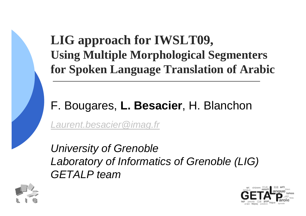#### **LIG approach for IWSLT09,Using Multiple Morphological Segmentersfor Spoken Language Translation of Arabic**

#### F. Bougares, **L. Besacier**, H. Blanchon

Laurent.besacier@imag.fr

University of Grenoble Laboratory of Informatics of Grenoble (LIG)GETALP team



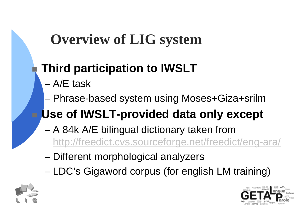## **Overview of LIG system**

#### **Third participation to IWSLT**

- –A/E task
- –Phrase-based system using Moses+Giza+srilm

## **Use of IWSLT-provided data only except**

- and the state of the state A 84k A/E bilingual dictionary taken from http://freedict.cvs.sourceforge.net/freedict/eng-ara/
- and the state of the state Different morphological analyzers
- and the state of the state LDC's Gigaword corpus (for english LM training)



b.

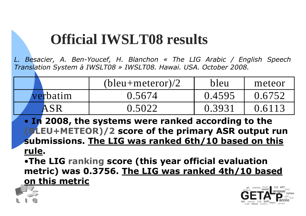### **Official IWSLT08 results**

*L. Besacier, A. Ben-Youcef, H. Blanchon « The LIG Arabic / English Speech Translation System à IWSLT08 » IWSLT08. Hawai. USA. October 2008.*

|          | $(bleu + meteor)/2$ | bleu   | meteor |
|----------|---------------------|--------|--------|
| verbatim | 0.5674              | 0.4595 | 0.6752 |
|          | 0.5022              | 0.393  | 0.6113 |

• **In 2008, the systems were ranked according to the (BLEU+METEOR)/2 score of the primary ASR output run submissions. The LIG was ranked 6th/10 based on this rule.**

 •**The LIG ranking score (this year official evaluation metric) was 0.3756. The LIG was ranked 4th/10 basedon this metric**



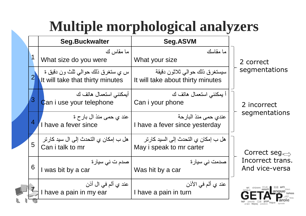## **Multiple morphological analyzers**

|                | <b>Seg.Buckwalter</b>                                                  | Seg.ASVM                                                            |                                    |
|----------------|------------------------------------------------------------------------|---------------------------------------------------------------------|------------------------------------|
|                | ما مقاس ك<br>What size do you were                                     | ما مقاسك<br>What your size                                          | 2 correct                          |
| $\overline{2}$ | س يِ ستغرق ذلك حوالي ثلث ون دقيق ة<br>It will take that thirty minutes | سيستغرق ذلك حوالي ثلاثون دقيقة<br>It will take about thirty minutes | segmentations                      |
| 3              | أيمكنني استعمال هاتف ك<br>Can i use your telephone                     | اً يمكنني استعمال هاتف ك<br>Can i your phone                        | 2 incorrect                        |
| 4              | عند ي حمي منذ ال بار ح ة<br>I have a fever since                       | عندي حمي منذ البار حة<br>I have a fever since yesterday             | segmentations                      |
| 5              | هل ب إمكان ي التحدث إلى ال سيد كار تر<br>Can i talk to mr              | هل ب إمكان ي التحدث إلى السيد كار تر<br>May i speak to mr carter    | Correct seg. $\Rightarrow$         |
| 6              | صدم ت ني سيارة<br>I was bit by a car                                   | صدمت نی سیار ۃ<br>Was hit by a car                                  | Incorrect trans.<br>And vice-versa |
|                | عند ي ألم في ال أذن<br>I have a pain in my ear                         | عند ي ألم في الأذن<br>I have a pain in turn                         |                                    |
|                |                                                                        |                                                                     |                                    |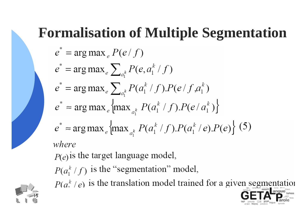#### **Formalisation of Multiple Segmentation**

$$
e^* = \arg \max_e P(e/f)
$$
  
\n
$$
e^* = \arg \max_e \sum_{a_i^k} P(e, a_i^k / f)
$$
  
\n
$$
e^* = \arg \max_e \sum_{a_i^k} P(a_i^k / f).P(e/f, a_i^k)
$$
  
\n
$$
e^* \approx \arg \max_e \{ \max_{a_i^k} P(a_i^k / f).P(e/a_i^k) \}
$$
  
\n
$$
e^* \approx \arg \max_e \{ \max_{a_i^k} P(a_i^k / f).P(a_i^k / e).P(e) \} (5)
$$
  
\nwhere  
\n
$$
P(e)
$$
 is the target language model,  
\n
$$
P(a_i^k / f)
$$
 is the "segmentation" model,  
\n
$$
P(a_i^k / e)
$$
 is the translation model trained for a given segment

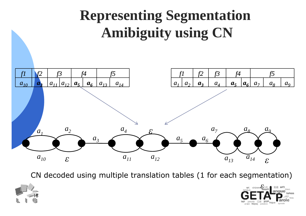

CN decoded using multiple translation tables (1 for each segmentation)



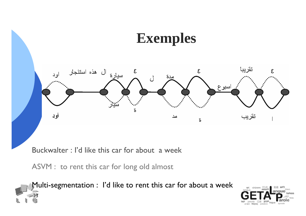

Buckwalter : I'd like this car for about a week

ASVM : to rent this car for long old almost

23

Multi-segmentation : I'd like to rent this car for about a week

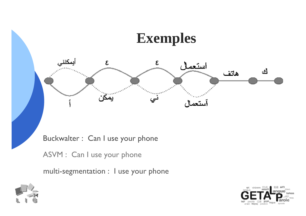



Buckwalter : Can I use your phone

ASVM : Can I use your phone

multi-segmentation : I use your phone



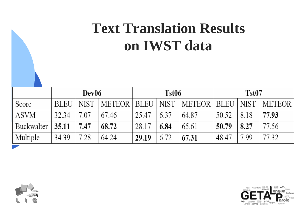## **Text Translation Resultson IWST data**

|             | Dev06       |             |                        | Tst06 |      |                      | Tst <sub>07</sub> |             |               |
|-------------|-------------|-------------|------------------------|-------|------|----------------------|-------------------|-------------|---------------|
| Score       | <b>BLEU</b> | <b>NIST</b> | <b>METEOR   BLEU  </b> |       | NIST | <b>METEOR   BLEU</b> |                   | <b>NIST</b> | <b>METEOR</b> |
| <b>ASVM</b> | 32.34       | 7.07        | 67.46                  | 25.47 | 6.37 | 64.87                | 50.52             | 8.18        | 77.93         |
| Buckwalter  | 35.11       | 7.47        | 68.72                  | 28.17 | 6.84 | 65.61                | 50.79             | 8.27        | 77.56         |
| Multiple    | 34.39       | 7.28        | 64.24                  | 29.19 | 6.72 | 67.31                | 48.47             | 7.99        | 77.32         |



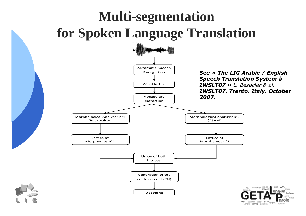#### **Multi-segmentation for Spoken Language Translation**



лтич Advoc patabra

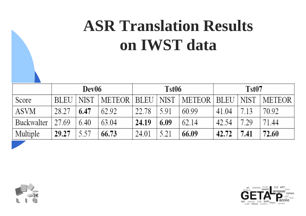# **ASR Translation Resultson IWST data**

|             | Dev06       |             |                        | Tst06 |      |               | Tst <sub>07</sub> |             |               |
|-------------|-------------|-------------|------------------------|-------|------|---------------|-------------------|-------------|---------------|
| Score       | <b>BLEU</b> | <b>NIST</b> | <b>METEOR   BLEU  </b> |       | NIST | METEOR   BLEU |                   | <b>NIST</b> | <b>METEOR</b> |
| <b>ASVM</b> | 28.27       | 6.47        | 62.92                  | 22.78 | 591  | 60.99         | 41.04             | 713         | 70.92         |
| Buckwalter  | 27.69       | 6.40        | 63.04                  | 24.19 | 6.09 | 62.14         | 42.54             | 7.29        | 71.44         |
| Multiple    | 29.27       | 5.57        | 66.73                  | 24.01 | 5.21 | 66.09         | 42.72             | 7.41        | 72.60         |



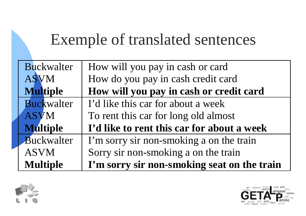## Exemple of translated sentences

| <b>Multiple</b>   | I'm sorry sir non-smoking seat on the train |
|-------------------|---------------------------------------------|
| <b>ASVM</b>       | Sorry sir non-smoking a on the train        |
| Buckwalter        | I'm sorry sir non-smoking a on the train    |
| <b>Multiple</b>   | I'd like to rent this car for about a week  |
| <b>ASVM</b>       | To rent this car for long old almost        |
| <b>Buckwalter</b> | I'd like this car for about a week          |
| <b>Multiple</b>   | How will you pay in cash or credit card     |
| <b>ASVM</b>       | How do you pay in cash credit card          |
| Buckwalter        | How will you pay in cash or card            |